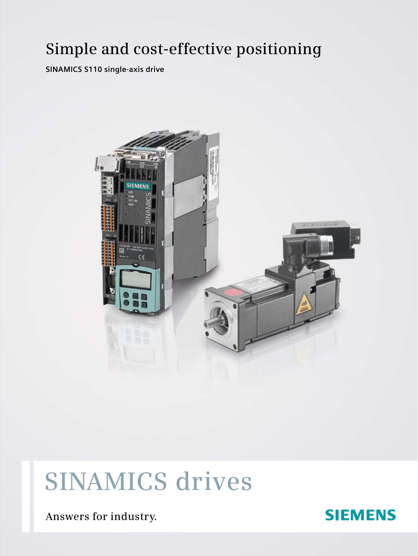# **Simple and cost-effective positioning**

**SINAMICS S110 single-axis drive**



# **Sinamics drives**

**Answers for industry.**

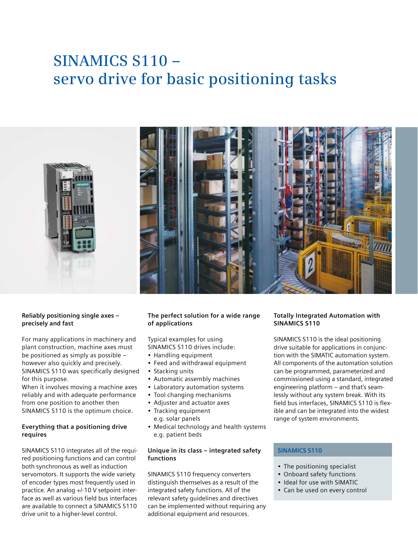# **SINAMICS S110 – servo drive for basic positioning tasks**





## **Reliably positioning single axes – precisely and fast**

For many applications in machinery and plant construction, machine axes must be positioned as simply as possible – however also quickly and precisely. SINAMICS S110 was specifically designed for this purpose.

When it involves moving a machine axes reliably and with adequate performance from one position to another then SINAMICS S110 is the optimum choice.

### **Everything that a positioning drive requires**

SINAMICS S110 integrates all of the required positioning functions and can control both synchronous as well as induction servomotors. It supports the wide variety of encoder types most frequently used in practice. An analog +/-10 V setpoint interface as well as various field bus interfaces are available to connect a SINAMICS S110 drive unit to a higher-level control.

# **The perfect solution for a wide range of applications**

Typical examples for using SINAMICS S110 drives include:

- • Handling equipment
- Feed and withdrawal equipment
- Stacking units
- Automatic assembly machines
- Laboratory automation systems
- Tool changing mechanisms
- • Adjuster and actuator axes
- Tracking equipment
	- e.g. solar panels
- Medical technology and health systems e.g. patient beds

### **Unique in its class – integrated safety functions**

SINAMICS S110 frequency converters distinguish themselves as a result of the integrated safety functions. All of the relevant safety guidelines and directives can be implemented without requiring any additional equipment and resources.

# **Totally Integrated Automation with SINAMICS S110**

SINAMICS S110 is the ideal positioning drive suitable for applications in conjunction with the SIMATIC automation system. All components of the automation solution can be programmed, parameterized and commissioned using a standard, integrated engineering platform – and that's seamlessly without any system break. With its field bus interfaces, SINAMICS S110 is flexible and can be integrated into the widest range of system environments.

# **SINAMICS S110**

- The positioning specialist
- Onboard safety functions
- Ideal for use with SIMATIC
- Can be used on every control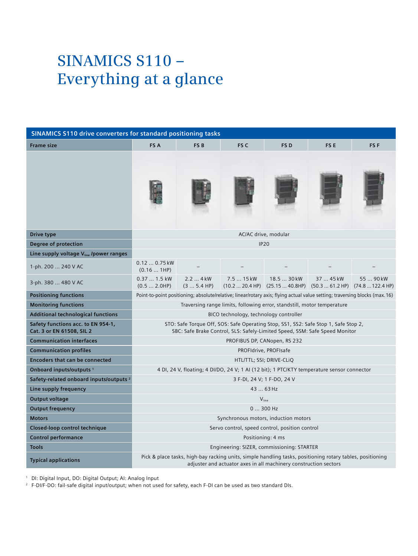# **SINAMICS S110 – Everything at a glance**

| <b>SINAMICS S110 drive converters for standard positioning tasks</b> |                                                                                                                                                                               |                         |                               |                              |                                               |                 |  |
|----------------------------------------------------------------------|-------------------------------------------------------------------------------------------------------------------------------------------------------------------------------|-------------------------|-------------------------------|------------------------------|-----------------------------------------------|-----------------|--|
| <b>Frame size</b>                                                    | FS A                                                                                                                                                                          | FS <sub>B</sub>         | FS <sub>C</sub>               | FS <sub>D</sub>              | FS <sub>E</sub>                               | FS <sub>F</sub> |  |
|                                                                      |                                                                                                                                                                               |                         |                               |                              |                                               |                 |  |
| Drive type                                                           | AC/AC drive, modular                                                                                                                                                          |                         |                               |                              |                                               |                 |  |
| Degree of protection                                                 | <b>IP20</b>                                                                                                                                                                   |                         |                               |                              |                                               |                 |  |
| Line supply voltage V <sub>line</sub> /power ranges                  |                                                                                                                                                                               |                         |                               |                              |                                               |                 |  |
| 1-ph. 200  240 V AC                                                  | $0.120.75$ kW<br>(0.161HP)                                                                                                                                                    |                         |                               |                              |                                               |                 |  |
| 3-ph. 380  480 V AC                                                  | 0.37  1.5 kW<br>(0.5 2.0HP)                                                                                                                                                   | 2.2  4 kW<br>(3 5.4 HP) | 7.5  15 kW<br>(10.2  20.4 HP) | 18.5  30 kW<br>(25.1540.8HP) | 37  45 kW<br>$(50.361.2 HP)$ $(74.8122.4 HP)$ | 55  90 kW       |  |
| <b>Positioning functions</b>                                         | Point-to-point positioning; absolute/relative; linear/rotary axis; flying actual value setting; traversing blocks (max. 16)                                                   |                         |                               |                              |                                               |                 |  |
| <b>Monitoring functions</b>                                          | Traversing range limits, following error, standstill, motor temperature                                                                                                       |                         |                               |                              |                                               |                 |  |
| <b>Additional technological functions</b>                            | BICO technology, technology controller                                                                                                                                        |                         |                               |                              |                                               |                 |  |
| Safety functions acc. to EN 954-1,<br>Cat. 3 or EN 61508, SIL 2      | STO: Safe Torque Off, SOS: Safe Operating Stop, SS1, SS2: Safe Stop 1, Safe Stop 2,<br>SBC: Safe Brake Control, SLS: Safely-Limited Speed, SSM: Safe Speed Monitor            |                         |                               |                              |                                               |                 |  |
| <b>Communication interfaces</b>                                      | PROFIBUS DP, CANopen, RS 232                                                                                                                                                  |                         |                               |                              |                                               |                 |  |
| <b>Communication profiles</b>                                        | PROFIdrive, PROFIsafe                                                                                                                                                         |                         |                               |                              |                                               |                 |  |
| <b>Encoders that can be connected</b>                                | HTL/TTL; SSI; DRIVE-CLIQ                                                                                                                                                      |                         |                               |                              |                                               |                 |  |
| Onboard inputs/outputs <sup>1</sup>                                  | 4 DI, 24 V, floating; 4 DI/DO, 24 V; 1 AI (12 bit); 1 PTC/KTY temperature sensor connector                                                                                    |                         |                               |                              |                                               |                 |  |
| Safety-related onboard inputs/outputs <sup>2</sup>                   | 3 F-DI, 24 V; 1 F-DO, 24 V                                                                                                                                                    |                         |                               |                              |                                               |                 |  |
| Line supply frequency                                                | 43  63 Hz                                                                                                                                                                     |                         |                               |                              |                                               |                 |  |
| <b>Output voltage</b>                                                | $V_{\text{line}}$                                                                                                                                                             |                         |                               |                              |                                               |                 |  |
| <b>Output frequency</b>                                              | $0300$ Hz                                                                                                                                                                     |                         |                               |                              |                                               |                 |  |
| <b>Motors</b>                                                        | Synchronous motors, induction motors                                                                                                                                          |                         |                               |                              |                                               |                 |  |
| Closed-loop control technique                                        | Servo control, speed control, position control                                                                                                                                |                         |                               |                              |                                               |                 |  |
| <b>Control performance</b>                                           | Positioning: 4 ms                                                                                                                                                             |                         |                               |                              |                                               |                 |  |
| <b>Tools</b>                                                         | Engineering: SIZER, commissioning: STARTER                                                                                                                                    |                         |                               |                              |                                               |                 |  |
| <b>Typical applications</b>                                          | Pick & place tasks, high-bay racking units, simple handling tasks, positioning rotary tables, positioning<br>adjuster and actuator axes in all machinery construction sectors |                         |                               |                              |                                               |                 |  |

<sup>1</sup> DI: Digital Input, DO: Digital Output; AI: Analog Input

 $^2$  F-DI/F-DO: fail-safe digital input/output; when not used for safety, each F-DI can be used as two standard DIs.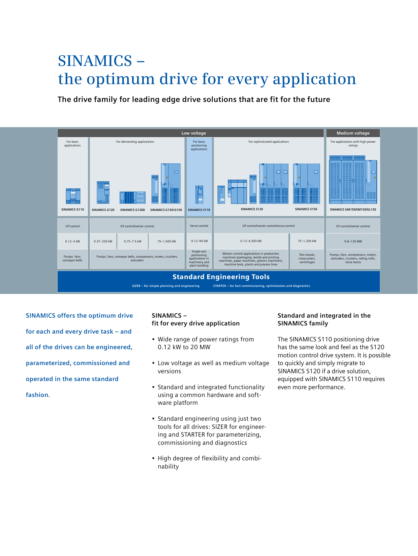# **SINAMICS – the optimum drive for every application**

**The drive family for leading edge drive solutions that are fit for the future**



**SINAMICS offers the optimum drive for each and every drive task – and all of the drives can be engineered, parameterized, commissioned and operated in the same standard fashion.**

# **SINAMICS – fit for every drive application**

- Wide range of power ratings from 0.12 kW to 20 MW
- Low voltage as well as medium voltage versions
- Standard and integrated functionality using a common hardware and software platform
- Standard engineering using just two tools for all drives: SIZER for engineering and STARTER for parameterizing, commissioning and diagnostics
- High degree of flexibility and combinability

## **Standard and integrated in the SINAMICS family**

The SINAMICS S110 positioning drive has the same look and feel as the S120 motion control drive system. It is possible to quickly and simply migrate to SINAMICS S120 if a drive solution, equipped with SINAMICS S110 requires even more performance.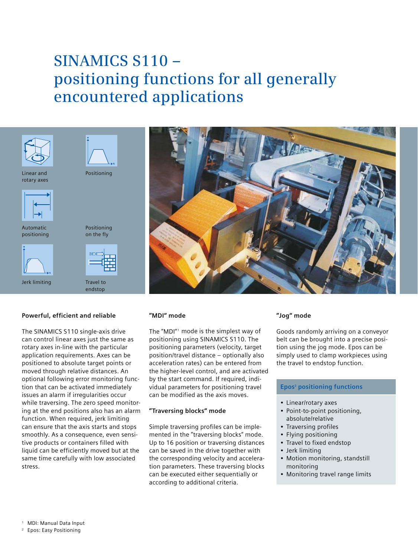# **SINAMICS S110 – positioning functions for all generally encountered applications**



#### **Powerful, efficient and reliable**

The SINAMICS S110 single-axis drive can control linear axes just the same as rotary axes in-line with the particular application requirements. Axes can be positioned to absolute target points or moved through relative distances. An optional following error monitoring function that can be activated immediately issues an alarm if irregularities occur while traversing. The zero speed monitoring at the end positions also has an alarm function. When required, jerk limiting can ensure that the axis starts and stops smoothly. As a consequence, even sensitive products or containers filled with liquid can be efficiently moved but at the same time carefully with low associated stress.

#### **"MDI" mode**

The "MDI" $^{\circ}$  mode is the simplest way of positioning using SINAMICS S110. The positioning parameters (velocity, target position/travel distance – optionally also acceleration rates) can be entered from the higher-level control, and are activated by the start command. If required, individual parameters for positioning travel can be modified as the axis moves.

#### **"Traversing blocks" mode**

Simple traversing profiles can be implemented in the "traversing blocks" mode. Up to 16 position or traversing distances can be saved in the drive together with the corresponding velocity and acceleration parameters. These traversing blocks can be executed either sequentially or according to additional criteria.

#### **"Jog" mode**

Goods randomly arriving on a conveyor belt can be brought into a precise position using the jog mode. Epos can be simply used to clamp workpieces using the travel to endstop function.

#### **Epos2 positioning functions**

- Linear/rotary axes
- Point-to-point positioning, absolute/relative
- Traversing profiles
- Flying positioning
- Travel to fixed endstop
- • Jerk limiting
- Motion monitoring, standstill monitoring
- Monitoring travel range limits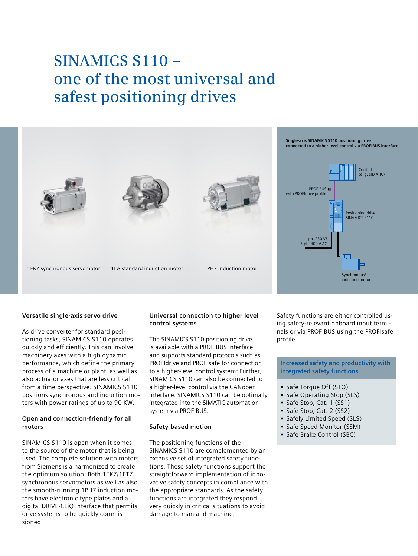# **SINAMICS S110 – one of the most universal and safest positioning drives**



### **Versatile single-axis servo drive**

As drive converter for standard positioning tasks, SINAMICS S110 operates quickly and efficiently. This can involve machinery axes with a high dynamic performance, which define the primary process of a machine or plant, as well as also actuator axes that are less critical from a time perspective. SINAMICS S110 positions synchronous and induction motors with power ratings of up to 90 KW.

### **Open and connection-friendly for all motors**

SINAMICS S110 is open when it comes to the source of the motor that is being used. The complete solution with motors from Siemens is a harmonized to create the optimum solution. Both 1FK7/1FT7 synchronous servomotors as well as also the smooth-running 1PH7 induction motors have electronic type plates and a digital DRIVE-CLiQ interface that permits drive systems to be quickly commissioned.

## **Universal connection to higher level control systems**

The SINAMICS S110 positioning drive is available with a PROFIBUS interface and supports standard protocols such as PROFIdrive and PROFIsafe for connection to a higher-level control system: Further, SINAMICS S110 can also be connected to a higher-level control via the CANopen interface. SINAMICS S110 can be optimally integrated into the SIMATIC automation system via PROFIBUS.

#### **Safety-based motion**

The positioning functions of the SINAMICS S110 are complemented by an extensive set of integrated safety functions. These safety functions support the straightforward implementation of innovative safety concepts in compliance with the appropriate standards. As the safety functions are integrated they respond very quickly in critical situations to avoid damage to man and machine.

Safety functions are either controlled using safety-relevant onboard input terminals or via PROFIBUS using the PROFIsafe profile.

## **Increased safety and productivity with integrated safety functions**

- Safe Torque Off (STO)
- Safe Operating Stop (SLS)
- Safe Stop, Cat. 1 (SS1)
- Safe Stop, Cat. 2 (SS2)
- Safely Limited Speed (SLS)
- Safe Speed Monitor (SSM)
- Safe Brake Control (SBC)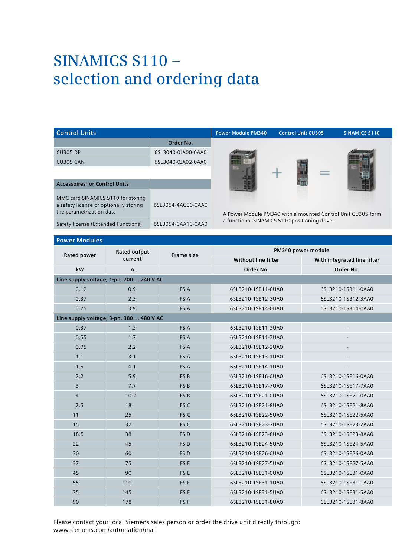# **SINAMICS S110 – selection and ordering data**

| <b>Control Units</b>                                                                                     |                    | <b>Power Module PM340</b>                     | <b>Control Unit CU305</b>                                   | <b>SINAMICS S110</b> |  |
|----------------------------------------------------------------------------------------------------------|--------------------|-----------------------------------------------|-------------------------------------------------------------|----------------------|--|
|                                                                                                          | Order No.          |                                               |                                                             |                      |  |
| <b>CU305 DP</b>                                                                                          | 6SL3040-0JA00-0AA0 |                                               |                                                             |                      |  |
| <b>CU305 CAN</b>                                                                                         | 6SL3040-0JA02-0AA0 |                                               |                                                             |                      |  |
|                                                                                                          |                    |                                               | ۰                                                           |                      |  |
| <b>Accessoires for Control Units</b>                                                                     |                    |                                               |                                                             |                      |  |
| MMC card SINAMICS S110 for storing<br>a safety license or optionally storing<br>the parametrization data | 6SL3054-4AG00-0AA0 |                                               | A Power Module PM340 with a mounted Control Unit CU305 form |                      |  |
| Safety license (Extended Functions)                                                                      | 6SL3054-0AA10-0AA0 | a functional SINAMICS S110 positioning drive. |                                                             |                      |  |

#### **Power Modules**

| <b>POWER MOUNTES</b>                     |                                          |                   |                            |                             |  |  |  |
|------------------------------------------|------------------------------------------|-------------------|----------------------------|-----------------------------|--|--|--|
| Rated power                              | Rated output                             | <b>Frame size</b> | PM340 power module         |                             |  |  |  |
|                                          | current                                  |                   | <b>Without line filter</b> | With integrated line filter |  |  |  |
| kW                                       | $\overline{A}$                           |                   | Order No.                  | Order No.                   |  |  |  |
|                                          | Line supply voltage, 1-ph. 200  240 V AC |                   |                            |                             |  |  |  |
| 0.12                                     | 0.9                                      | FS A              | 6SL3210-1SB11-0UA0         | 6SL3210-1SB11-0AA0          |  |  |  |
| 0.37                                     | 2.3                                      | FS A              | 6SL3210-1SB12-3UA0         | 6SL3210-1SB12-3AA0          |  |  |  |
| 0.75                                     | 3.9                                      | FS A              | 6SL3210-1SB14-0UA0         | 6SL3210-1SB14-0AA0          |  |  |  |
| Line supply voltage, 3-ph. 380  480 V AC |                                          |                   |                            |                             |  |  |  |
| 0.37                                     | 1.3                                      | FS A              | 6SL3210-1SE11-3UA0         | $\overline{\phantom{a}}$    |  |  |  |
| 0.55                                     | 1.7                                      | FS A              | 6SL3210-1SE11-7UA0         | $\overline{a}$              |  |  |  |
| 0.75                                     | 2.2                                      | FS A              | 6SL3210-1SE12-2UA0         |                             |  |  |  |
| 1.1                                      | 3.1                                      | FS A              | 6SL3210-1SE13-1UA0         |                             |  |  |  |
| 1.5                                      | 4.1                                      | FS A              | 6SL3210-1SE14-1UA0         |                             |  |  |  |
| 2.2                                      | 5.9                                      | FS <sub>B</sub>   | 6SL3210-1SE16-0UA0         | 6SL3210-1SE16-0AA0          |  |  |  |
| $\overline{3}$                           | 7.7                                      | FS <sub>B</sub>   | 6SL3210-1SE17-7UA0         | 6SL3210-1SE17-7AA0          |  |  |  |
| $\overline{4}$                           | 10.2                                     | FS <sub>B</sub>   | 6SL3210-1SE21-0UA0         | 6SL3210-1SE21-0AA0          |  |  |  |
| 7.5                                      | 18                                       | FS C              | 6SL3210-1SE21-8UA0         | 6SL3210-1SE21-8AA0          |  |  |  |
| 11                                       | 25                                       | FS C              | 6SL3210-1SE22-5UA0         | 6SL3210-1SE22-5AA0          |  |  |  |
| 15                                       | 32                                       | FS C              | 6SL3210-1SE23-2UA0         | 6SL3210-1SE23-2AA0          |  |  |  |
| 18.5                                     | 38                                       | FS <sub>D</sub>   | 6SL3210-1SE23-8UA0         | 6SL3210-1SE23-8AA0          |  |  |  |
| 22                                       | 45                                       | FS <sub>D</sub>   | 6SL3210-1SE24-5UA0         | 6SL3210-1SE24-5AA0          |  |  |  |
| 30                                       | 60                                       | FS <sub>D</sub>   | 6SL3210-1SE26-0UA0         | 6SL3210-1SE26-0AA0          |  |  |  |
| 37                                       | 75                                       | FS E              | 6SL3210-1SE27-5UA0         | 6SL3210-1SE27-5AA0          |  |  |  |
| 45                                       | 90                                       | FS E              | 6SL3210-1SE31-0UA0         | 6SL3210-1SE31-0AA0          |  |  |  |
| 55                                       | 110                                      | FS <sub>F</sub>   | 6SL3210-1SE31-1UA0         | 6SL3210-1SE31-1AA0          |  |  |  |
| 75                                       | 145                                      | FS <sub>F</sub>   | 6SL3210-1SE31-5UA0         | 6SL3210-1SE31-5AA0          |  |  |  |
| 90                                       | 178                                      | FS <sub>F</sub>   | 6SL3210-1SE31-8UA0         | 6SL3210-1SE31-8AA0          |  |  |  |

Please contact your local Siemens sales person or order the drive unit directly through: www.siemens.com/automation/mall